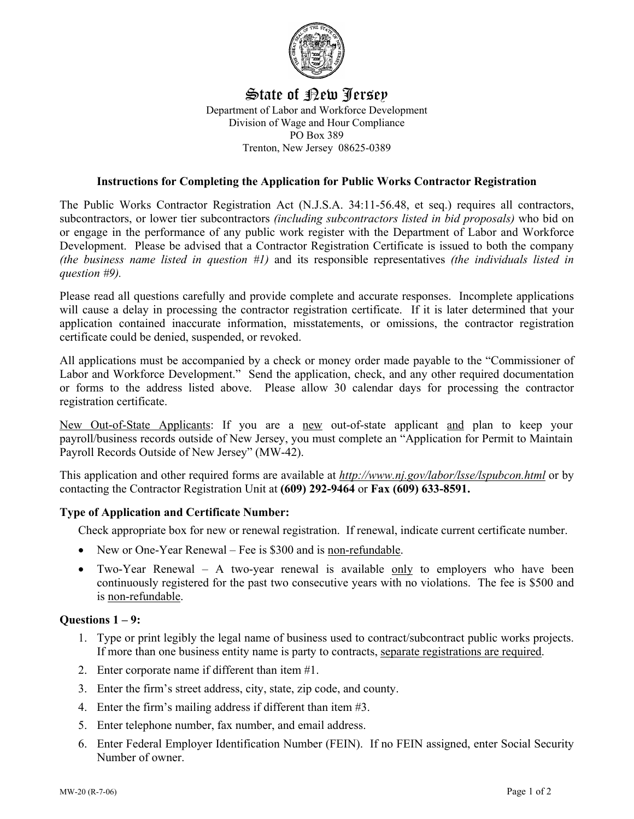

## State of New Jersey Department of Labor and Workforce Development Division of Wage and Hour Compliance PO Box 389 Trenton, New Jersey 08625-0389

### **Instructions for Completing the Application for Public Works Contractor Registration**

The Public Works Contractor Registration Act (N.J.S.A. 34:11-56.48, et seq.) requires all contractors, subcontractors, or lower tier subcontractors *(including subcontractors listed in bid proposals)* who bid on or engage in the performance of any public work register with the Department of Labor and Workforce Development. Please be advised that a Contractor Registration Certificate is issued to both the company *(the business name listed in question #1)* and its responsible representatives *(the individuals listed in question #9).*

Please read all questions carefully and provide complete and accurate responses. Incomplete applications will cause a delay in processing the contractor registration certificate. If it is later determined that your application contained inaccurate information, misstatements, or omissions, the contractor registration certificate could be denied, suspended, or revoked.

All applications must be accompanied by a check or money order made payable to the "Commissioner of Labor and Workforce Development." Send the application, check, and any other required documentation or forms to the address listed above. Please allow 30 calendar days for processing the contractor registration certificate.

New Out-of-State Applicants: If you are a new out-of-state applicant and plan to keep your payroll/business records outside of New Jersey, you must complete an "Application for Permit to Maintain Payroll Records Outside of New Jersey" (MW-42).

This application and other required forms are available at *http://www.nj.gov/labor/lsse/lspubcon.html* or by contacting the Contractor Registration Unit at **(609) 292-9464** or **Fax (609) 633-8591.**

### **Type of Application and Certificate Number:**

Check appropriate box for new or renewal registration. If renewal, indicate current certificate number.

- New or One-Year Renewal Fee is \$300 and is non-refundable.
- Two-Year Renewal A two-year renewal is available only to employers who have been continuously registered for the past two consecutive years with no violations. The fee is \$500 and is non-refundable.

### **Questions 1 – 9:**

- 1. Type or print legibly the legal name of business used to contract/subcontract public works projects. If more than one business entity name is party to contracts, separate registrations are required.
- 2. Enter corporate name if different than item #1.
- 3. Enter the firm's street address, city, state, zip code, and county.
- 4. Enter the firm's mailing address if different than item #3.
- 5. Enter telephone number, fax number, and email address.
- 6. Enter Federal Employer Identification Number (FEIN). If no FEIN assigned, enter Social Security Number of owner.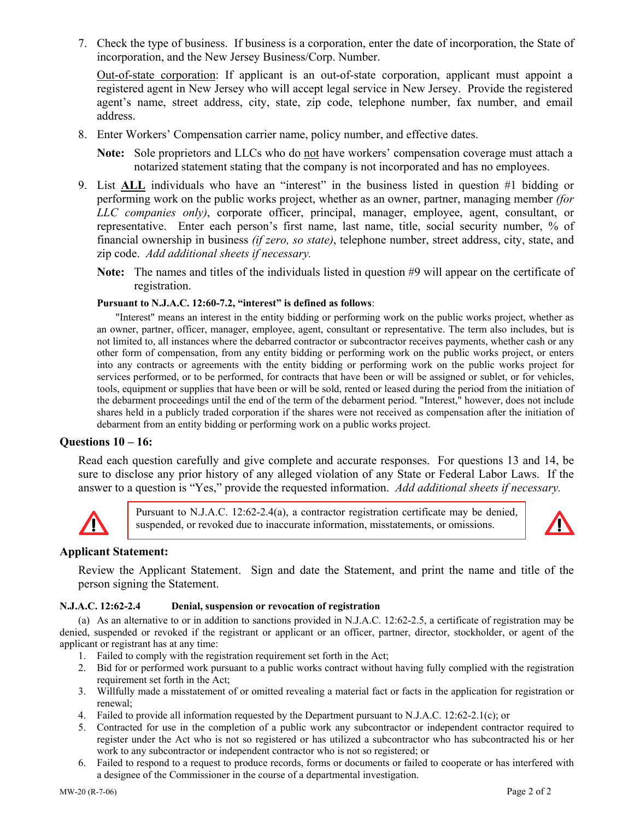7. Check the type of business. If business is a corporation, enter the date of incorporation, the State of incorporation, and the New Jersey Business/Corp. Number.

Out-of-state corporation: If applicant is an out-of-state corporation, applicant must appoint a registered agent in New Jersey who will accept legal service in New Jersey. Provide the registered agent's name, street address, city, state, zip code, telephone number, fax number, and email address.

8. Enter Workers' Compensation carrier name, policy number, and effective dates.

**Note:** Sole proprietors and LLCs who do not have workers' compensation coverage must attach a notarized statement stating that the company is not incorporated and has no employees.

- 9. List **ALL** individuals who have an "interest" in the business listed in question #1 bidding or performing work on the public works project, whether as an owner, partner, managing member *(for LLC companies only)*, corporate officer, principal, manager, employee, agent, consultant, or representative. Enter each person's first name, last name, title, social security number, % of financial ownership in business *(if zero, so state)*, telephone number, street address, city, state, and zip code. *Add additional sheets if necessary.*
	- **Note:** The names and titles of the individuals listed in question #9 will appear on the certificate of registration.

#### **Pursuant to N.J.A.C. 12:60-7.2, "interest" is defined as follows**:

 "Interest" means an interest in the entity bidding or performing work on the public works project, whether as an owner, partner, officer, manager, employee, agent, consultant or representative. The term also includes, but is not limited to, all instances where the debarred contractor or subcontractor receives payments, whether cash or any other form of compensation, from any entity bidding or performing work on the public works project, or enters into any contracts or agreements with the entity bidding or performing work on the public works project for services performed, or to be performed, for contracts that have been or will be assigned or sublet, or for vehicles, tools, equipment or supplies that have been or will be sold, rented or leased during the period from the initiation of the debarment proceedings until the end of the term of the debarment period. "Interest," however, does not include shares held in a publicly traded corporation if the shares were not received as compensation after the initiation of debarment from an entity bidding or performing work on a public works project.

#### **Questions 10 – 16:**

Read each question carefully and give complete and accurate responses. For questions 13 and 14, be sure to disclose any prior history of any alleged violation of any State or Federal Labor Laws. If the answer to a question is "Yes," provide the requested information. *Add additional sheets if necessary.* 



Pursuant to N.J.A.C. 12:62-2.4(a), a contractor registration certificate may be denied, suspended, or revoked due to inaccurate information, misstatements, or omissions.



### **Applicant Statement:**

Review the Applicant Statement. Sign and date the Statement, and print the name and title of the person signing the Statement.

#### **N.J.A.C. 12:62-2.4 Denial, suspension or revocation of registration**

(a) As an alternative to or in addition to sanctions provided in N.J.A.C. 12:62-2.5, a certificate of registration may be denied, suspended or revoked if the registrant or applicant or an officer, partner, director, stockholder, or agent of the applicant or registrant has at any time:

- 1. Failed to comply with the registration requirement set forth in the Act;
- 2. Bid for or performed work pursuant to a public works contract without having fully complied with the registration requirement set forth in the Act;
- 3. Willfully made a misstatement of or omitted revealing a material fact or facts in the application for registration or renewal;
- 4. Failed to provide all information requested by the Department pursuant to N.J.A.C. 12:62-2.1(c); or
- 5. Contracted for use in the completion of a public work any subcontractor or independent contractor required to register under the Act who is not so registered or has utilized a subcontractor who has subcontracted his or her work to any subcontractor or independent contractor who is not so registered; or
- 6. Failed to respond to a request to produce records, forms or documents or failed to cooperate or has interfered with a designee of the Commissioner in the course of a departmental investigation.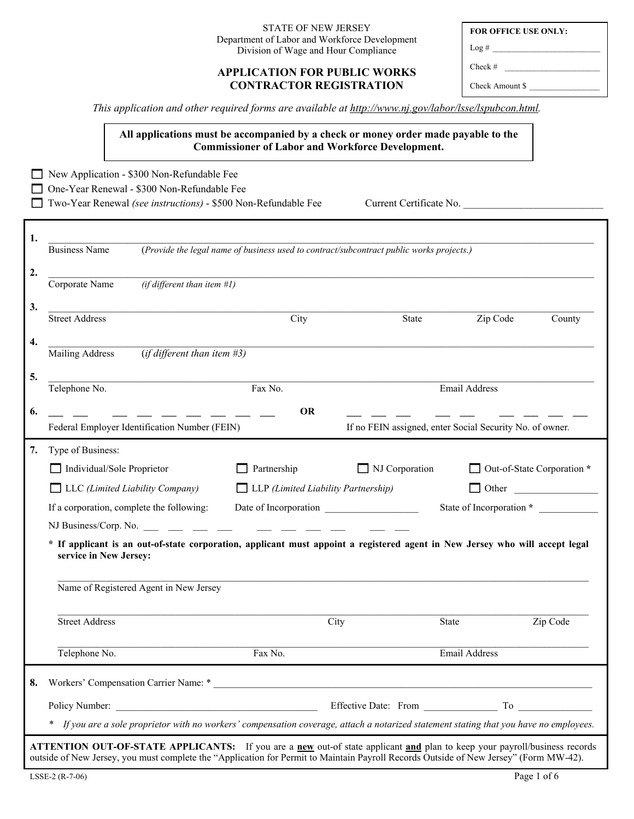#### STATE OF NEW JERSEY Department of Labor and Workforce Development Division of Wage and Hour Compliance

### **APPLICATION FOR PUBLIC WORKS CONTRACTOR REGISTRATION**

*This application and other required forms are available at http://www.nj.gov/labor/lsse/lspubcon.html.* 

**All applications must be accompanied by a check or money order made payable to the Commissioner of Labor and Workforce Development.** 

New Application - \$300 Non-Refundable Fee One-Year Renewal - \$300 Non-Refundable Fee Two-Year Renewal *(see instructions)* - \$500 Non-Refundable Fee Current Certificate No. **1.** \_\_\_\_\_\_\_\_\_\_\_\_\_\_\_\_\_\_\_\_\_\_\_\_\_\_\_\_\_\_\_\_\_\_\_\_\_\_\_\_\_\_\_\_\_\_\_\_\_\_\_\_\_\_\_\_\_\_\_\_\_\_\_\_\_\_\_\_\_\_\_\_\_\_\_\_\_\_\_\_\_\_\_\_\_\_\_\_\_\_\_\_\_\_\_\_\_\_\_\_\_\_\_\_\_\_\_\_\_\_\_ Business Name (*Provide the legal name of business used to contract/subcontract public works projects.)* **2.** \_\_\_\_\_\_\_\_\_\_\_\_\_\_\_\_\_\_\_\_\_\_\_\_\_\_\_\_\_\_\_\_\_\_\_\_\_\_\_\_\_\_\_\_\_\_\_\_\_\_\_\_\_\_\_\_\_\_\_\_\_\_\_\_\_\_\_\_\_\_\_\_\_\_\_\_\_\_\_\_\_\_\_\_\_\_\_\_\_\_\_\_\_\_\_\_\_\_\_\_\_\_\_\_\_\_\_\_\_\_\_ Corporate Name *(if different than item #1)* **3.** \_\_\_\_\_\_\_\_\_\_\_\_\_\_\_\_\_\_\_\_\_\_\_\_\_\_\_\_\_\_\_\_\_\_\_\_\_\_\_\_\_\_\_\_\_\_\_\_\_\_\_\_\_\_\_\_\_\_\_\_\_\_\_\_\_\_\_\_\_\_\_\_\_\_\_\_\_\_\_\_\_\_\_\_\_\_\_\_\_\_\_\_\_\_\_\_\_\_\_\_\_\_\_\_\_\_\_\_\_\_\_ Street Address City City State Zip Code County **4.** \_\_\_\_\_\_\_\_\_\_\_\_\_\_\_\_\_\_\_\_\_\_\_\_\_\_\_\_\_\_\_\_\_\_\_\_\_\_\_\_\_\_\_\_\_\_\_\_\_\_\_\_\_\_\_\_\_\_\_\_\_\_\_\_\_\_\_\_\_\_\_\_\_\_\_\_\_\_\_\_\_\_\_\_\_\_\_\_\_\_\_\_\_\_\_\_\_\_\_\_\_\_\_\_\_\_\_\_\_\_\_ Mailing Address (*if different than item #3)* **5.** \_\_\_\_\_\_\_\_\_\_\_\_\_\_\_\_\_\_\_\_\_\_\_\_\_\_\_\_\_\_\_\_\_\_\_\_\_\_\_\_\_\_\_\_\_\_\_\_\_\_\_\_\_\_\_\_\_\_\_\_\_\_\_\_\_\_\_\_\_\_\_\_\_\_\_\_\_\_\_\_\_\_\_\_\_\_\_\_\_\_\_\_\_\_\_\_\_\_\_\_\_\_\_\_\_\_\_\_\_\_\_ Telephone No. **Fax No.** Fax No. **Email Address 6.** \_\_ \_\_ \_\_ \_\_ \_\_ \_\_ \_\_ OR \_\_ \_\_ \_\_ \_\_ \_\_ \_\_ \_\_ \_\_ Federal Employer Identification Number (FEIN) If no FEIN assigned, enter Social Security No. of owner. **7.** Type of Business: Individual/Sole Proprietor **D** Partnership **D** NJ Corporation **D** Out-of-State Corporation **\*** □ LLC *(Limited Liability Company)* □ LLP *(Limited Liability Partnership)* □ Other △ If a corporation, complete the following: Date of Incorporation **State of Incorporation \*** NJ Business/Corp. No.  $\frac{1}{2}$   $\frac{1}{2}$   $\frac{1}{2}$   $\frac{1}{2}$   $\frac{1}{2}$   $\frac{1}{2}$   $\frac{1}{2}$   $\frac{1}{2}$   $\frac{1}{2}$   $\frac{1}{2}$   $\frac{1}{2}$   $\frac{1}{2}$   $\frac{1}{2}$   $\frac{1}{2}$   $\frac{1}{2}$   $\frac{1}{2}$   $\frac{1}{2}$   $\frac{1}{2}$   $\frac{1}{2}$   $\frac{1}{2}$ **\* If applicant is an out-of-state corporation, applicant must appoint a registered agent in New Jersey who will accept legal service in New Jersey:**   $\mathcal{L}_\text{max} = \frac{1}{2} \sum_{i=1}^n \mathcal{L}_\text{max} = \frac{1}{2} \sum_{i=1}^n \mathcal{L}_\text{max} = \frac{1}{2} \sum_{i=1}^n \mathcal{L}_\text{max} = \frac{1}{2} \sum_{i=1}^n \mathcal{L}_\text{max} = \frac{1}{2} \sum_{i=1}^n \mathcal{L}_\text{max} = \frac{1}{2} \sum_{i=1}^n \mathcal{L}_\text{max} = \frac{1}{2} \sum_{i=1}^n \mathcal{L}_\text{max} = \frac{1}{2} \sum_{i=$ Name of Registered Agent in New Jersey Street Address 2ip Code 21 November 21 November 21 November 21 November 21 November 21 November 21 November 21 November 21 November 21 November 21 November 21 November 21 November 21 November 21 November 21 November 21 Nov  $\mathcal{L}_\text{max} = \frac{1}{2} \sum_{i=1}^n \mathcal{L}_\text{max} = \frac{1}{2} \sum_{i=1}^n \mathcal{L}_\text{max} = \frac{1}{2} \sum_{i=1}^n \mathcal{L}_\text{max} = \frac{1}{2} \sum_{i=1}^n \mathcal{L}_\text{max} = \frac{1}{2} \sum_{i=1}^n \mathcal{L}_\text{max} = \frac{1}{2} \sum_{i=1}^n \mathcal{L}_\text{max} = \frac{1}{2} \sum_{i=1}^n \mathcal{L}_\text{max} = \frac{1}{2} \sum_{i=$ Telephone No. **Fax No.** Fax No. **Email Address 8.** Workers' Compensation Carrier Name: \* Policy Number: \_\_\_\_\_\_\_\_\_\_\_\_\_\_\_\_\_\_\_\_\_\_\_\_\_\_\_\_\_\_\_\_\_\_\_\_\_\_\_\_\_ Effective Date: From \_\_\_\_\_\_\_\_\_\_\_\_\_\_\_ To \_\_\_\_\_\_\_\_\_\_\_\_\_\_\_ *\* If you are a sole proprietor with no workers' compensation coverage, attach a notarized statement stating that you have no employees.* **ATTENTION OUT-OF-STATE APPLICANTS:** If you are a **new** out-of state applicant **and** plan to keep your payroll/business records outside of New Jersey, you must complete the "Application for Permit to Maintain Payroll Records Outside of New Jersey" (Form MW-42).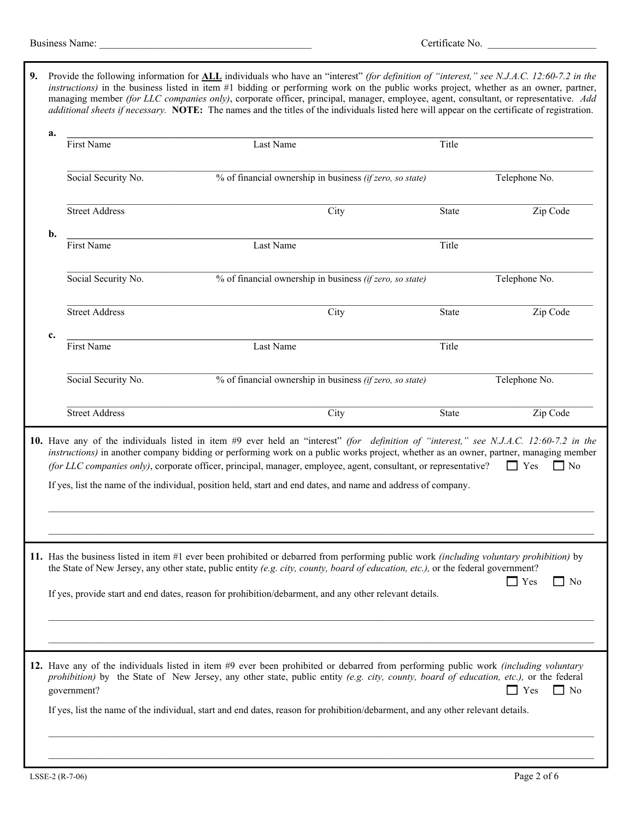|                                                                                                                                                                                                                                                                                                                                                                                                                                                                                                                                                                                   | Business Name:<br><u> 1989 - Johann John Stone, market fan de Amerikaanske kommunister fan de Amerikaanske kommunister fan de Amerika</u>                                                                                                                                                                                                                                                                                                                                                                                                      |                       |                                                          |                                                          | Certificate No. |               |  |
|-----------------------------------------------------------------------------------------------------------------------------------------------------------------------------------------------------------------------------------------------------------------------------------------------------------------------------------------------------------------------------------------------------------------------------------------------------------------------------------------------------------------------------------------------------------------------------------|------------------------------------------------------------------------------------------------------------------------------------------------------------------------------------------------------------------------------------------------------------------------------------------------------------------------------------------------------------------------------------------------------------------------------------------------------------------------------------------------------------------------------------------------|-----------------------|----------------------------------------------------------|----------------------------------------------------------|-----------------|---------------|--|
| Provide the following information for ALL individuals who have an "interest" (for definition of "interest," see N.J.A.C. 12:60-7.2 in the<br>9.<br>instructions) in the business listed in item #1 bidding or performing work on the public works project, whether as an owner, partner,<br>managing member (for LLC companies only), corporate officer, principal, manager, employee, agent, consultant, or representative. Add<br>additional sheets if necessary. NOTE: The names and the titles of the individuals listed here will appear on the certificate of registration. |                                                                                                                                                                                                                                                                                                                                                                                                                                                                                                                                                |                       |                                                          |                                                          |                 |               |  |
|                                                                                                                                                                                                                                                                                                                                                                                                                                                                                                                                                                                   | a.                                                                                                                                                                                                                                                                                                                                                                                                                                                                                                                                             | First Name            | Last Name                                                |                                                          | Title           |               |  |
|                                                                                                                                                                                                                                                                                                                                                                                                                                                                                                                                                                                   |                                                                                                                                                                                                                                                                                                                                                                                                                                                                                                                                                | Social Security No.   |                                                          | % of financial ownership in business (if zero, so state) |                 | Telephone No. |  |
|                                                                                                                                                                                                                                                                                                                                                                                                                                                                                                                                                                                   |                                                                                                                                                                                                                                                                                                                                                                                                                                                                                                                                                | <b>Street Address</b> |                                                          | City                                                     | State           | Zip Code      |  |
|                                                                                                                                                                                                                                                                                                                                                                                                                                                                                                                                                                                   | b.                                                                                                                                                                                                                                                                                                                                                                                                                                                                                                                                             | First Name            | Last Name                                                |                                                          | Title           |               |  |
|                                                                                                                                                                                                                                                                                                                                                                                                                                                                                                                                                                                   |                                                                                                                                                                                                                                                                                                                                                                                                                                                                                                                                                | Social Security No.   | % of financial ownership in business (if zero, so state) |                                                          |                 | Telephone No. |  |
|                                                                                                                                                                                                                                                                                                                                                                                                                                                                                                                                                                                   |                                                                                                                                                                                                                                                                                                                                                                                                                                                                                                                                                | <b>Street Address</b> |                                                          | City                                                     | State           | Zip Code      |  |
|                                                                                                                                                                                                                                                                                                                                                                                                                                                                                                                                                                                   | c.                                                                                                                                                                                                                                                                                                                                                                                                                                                                                                                                             | First Name            | Last Name                                                |                                                          | Title           |               |  |
|                                                                                                                                                                                                                                                                                                                                                                                                                                                                                                                                                                                   |                                                                                                                                                                                                                                                                                                                                                                                                                                                                                                                                                | Social Security No.   | % of financial ownership in business (if zero, so state) |                                                          |                 | Telephone No. |  |
|                                                                                                                                                                                                                                                                                                                                                                                                                                                                                                                                                                                   |                                                                                                                                                                                                                                                                                                                                                                                                                                                                                                                                                | <b>Street Address</b> |                                                          | City                                                     | State           | Zip Code      |  |
|                                                                                                                                                                                                                                                                                                                                                                                                                                                                                                                                                                                   | 10. Have any of the individuals listed in item #9 ever held an "interest" (for definition of "interest," see N.J.A.C. 12:60-7.2 in the<br>instructions) in another company bidding or performing work on a public works project, whether as an owner, partner, managing member<br>(for LLC companies only), corporate officer, principal, manager, employee, agent, consultant, or representative?<br>$\Box$ Yes<br>$\Box$ No<br>If yes, list the name of the individual, position held, start and end dates, and name and address of company. |                       |                                                          |                                                          |                 |               |  |
|                                                                                                                                                                                                                                                                                                                                                                                                                                                                                                                                                                                   | 11. Has the business listed in item #1 ever been prohibited or debarred from performing public work <i>(including voluntary prohibition)</i> by<br>the State of New Jersey, any other state, public entity (e.g. city, county, board of education, etc.), or the federal government?<br>$\Box$ Yes<br>□ No<br>If yes, provide start and end dates, reason for prohibition/debarment, and any other relevant details.                                                                                                                           |                       |                                                          |                                                          |                 |               |  |
| 12. Have any of the individuals listed in item #9 ever been prohibited or debarred from performing public work <i>(including voluntary</i><br>prohibition) by the State of New Jersey, any other state, public entity (e.g. city, county, board of education, etc.), or the federal<br>government?<br>Yes<br>If yes, list the name of the individual, start and end dates, reason for prohibition/debarment, and any other relevant details.                                                                                                                                      |                                                                                                                                                                                                                                                                                                                                                                                                                                                                                                                                                |                       |                                                          |                                                          | $\Box$ No       |               |  |
|                                                                                                                                                                                                                                                                                                                                                                                                                                                                                                                                                                                   |                                                                                                                                                                                                                                                                                                                                                                                                                                                                                                                                                |                       |                                                          |                                                          |                 |               |  |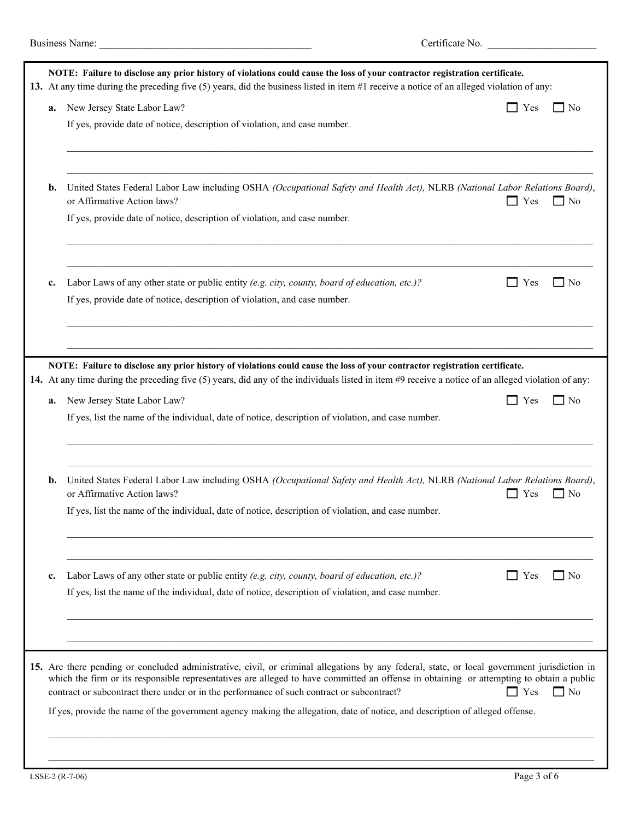| a. | New Jersey State Labor Law?                                                                                                                                                                                                                                                                                                                                                                                                                                                                                            | Yes<br>٦   | 7 No      |
|----|------------------------------------------------------------------------------------------------------------------------------------------------------------------------------------------------------------------------------------------------------------------------------------------------------------------------------------------------------------------------------------------------------------------------------------------------------------------------------------------------------------------------|------------|-----------|
|    | If yes, provide date of notice, description of violation, and case number.                                                                                                                                                                                                                                                                                                                                                                                                                                             |            |           |
| b. | United States Federal Labor Law including OSHA (Occupational Safety and Health Act), NLRB (National Labor Relations Board),<br>or Affirmative Action laws?<br>If yes, provide date of notice, description of violation, and case number.                                                                                                                                                                                                                                                                               | $\Box$ Yes | $\Box$ No |
| c. | Labor Laws of any other state or public entity (e.g. city, county, board of education, etc.)?<br>If yes, provide date of notice, description of violation, and case number.                                                                                                                                                                                                                                                                                                                                            | Yes        | 7 No      |
| a. | NOTE: Failure to disclose any prior history of violations could cause the loss of your contractor registration certificate.<br>14. At any time during the preceding five (5) years, did any of the individuals listed in item #9 receive a notice of an alleged violation of any:<br>New Jersey State Labor Law?<br>If yes, list the name of the individual, date of notice, description of violation, and case number.                                                                                                | Yes        | $\Box$ No |
| b. | United States Federal Labor Law including OSHA (Occupational Safety and Health Act), NLRB (National Labor Relations Board),<br>or Affirmative Action laws?<br>If yes, list the name of the individual, date of notice, description of violation, and case number.                                                                                                                                                                                                                                                      | Yes        | ∩ No      |
| c. | Labor Laws of any other state or public entity (e.g. city, county, board of education, etc.)?<br>If yes, list the name of the individual, date of notice, description of violation, and case number.                                                                                                                                                                                                                                                                                                                   | $\top$ Yes | 7 No      |
|    | 15. Are there pending or concluded administrative, civil, or criminal allegations by any federal, state, or local government jurisdiction in<br>which the firm or its responsible representatives are alleged to have committed an offense in obtaining or attempting to obtain a public<br>contract or subcontract there under or in the performance of such contract or subcontract?<br>If yes, provide the name of the government agency making the allegation, date of notice, and description of alleged offense. | $\Box$ Yes | $\Box$ No |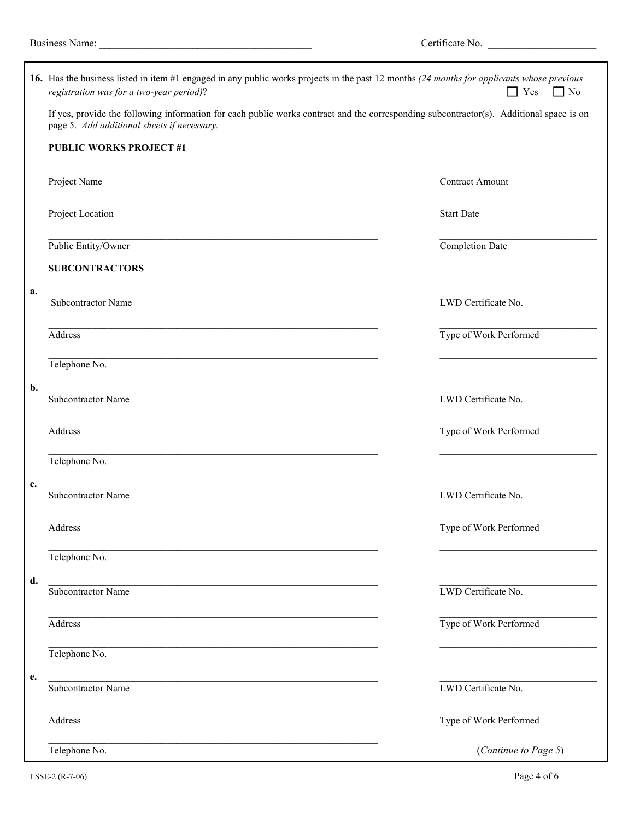|    | 16. Has the business listed in item #1 engaged in any public works projects in the past 12 months (24 months for applicants whose previous<br>registration was for a two-year period)?<br>$\Box$ Yes<br>$\Box$ No |                        |  |  |  |  |
|----|-------------------------------------------------------------------------------------------------------------------------------------------------------------------------------------------------------------------|------------------------|--|--|--|--|
|    | If yes, provide the following information for each public works contract and the corresponding subcontractor(s). Additional space is on<br>page 5. Add additional sheets if necessary.                            |                        |  |  |  |  |
|    | <b>PUBLIC WORKS PROJECT #1</b>                                                                                                                                                                                    |                        |  |  |  |  |
|    | Project Name                                                                                                                                                                                                      | Contract Amount        |  |  |  |  |
|    | Project Location                                                                                                                                                                                                  | Start Date             |  |  |  |  |
|    | Public Entity/Owner                                                                                                                                                                                               | Completion Date        |  |  |  |  |
|    | <b>SUBCONTRACTORS</b>                                                                                                                                                                                             |                        |  |  |  |  |
| a. | Subcontractor Name                                                                                                                                                                                                | LWD Certificate No.    |  |  |  |  |
|    | <b>Address</b>                                                                                                                                                                                                    | Type of Work Performed |  |  |  |  |
|    | Telephone No.                                                                                                                                                                                                     |                        |  |  |  |  |
| b. | Subcontractor Name                                                                                                                                                                                                | LWD Certificate No.    |  |  |  |  |
|    | <b>Address</b>                                                                                                                                                                                                    | Type of Work Performed |  |  |  |  |
|    | Telephone No.                                                                                                                                                                                                     |                        |  |  |  |  |
| c. | the control of the control of the control of the control of the control of the control of<br>Subcontractor Name                                                                                                   | LWD Certificate No.    |  |  |  |  |
|    | Address                                                                                                                                                                                                           | Type of Work Performed |  |  |  |  |
|    | Telephone No.                                                                                                                                                                                                     |                        |  |  |  |  |
| d. | Subcontractor Name                                                                                                                                                                                                | LWD Certificate No.    |  |  |  |  |
|    | Address                                                                                                                                                                                                           | Type of Work Performed |  |  |  |  |
|    | Telephone No.                                                                                                                                                                                                     |                        |  |  |  |  |
| e. | Subcontractor Name                                                                                                                                                                                                | LWD Certificate No.    |  |  |  |  |
|    | Address                                                                                                                                                                                                           | Type of Work Performed |  |  |  |  |
|    | Telephone No.                                                                                                                                                                                                     | (Continue to Page 5)   |  |  |  |  |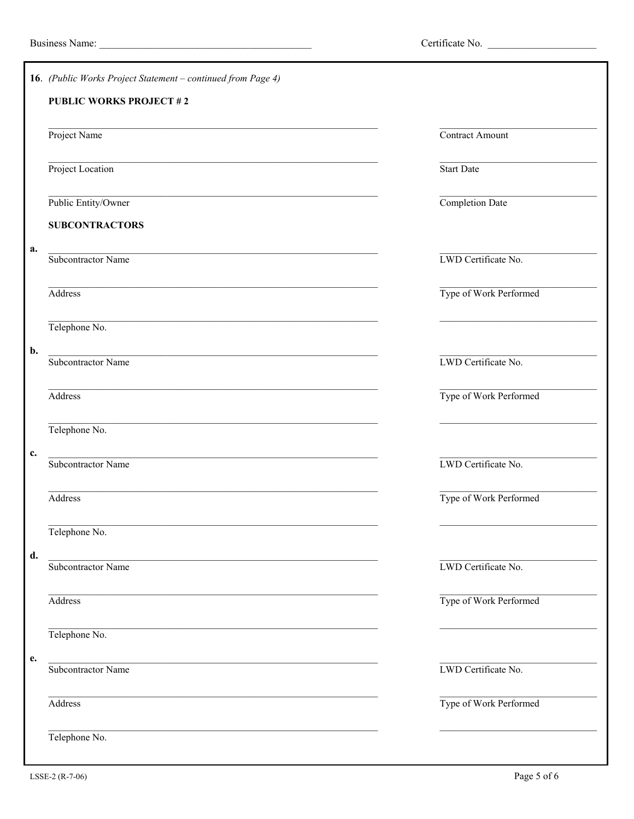|    | 16. (Public Works Project Statement – continued from Page 4)                                                    |                        |  |  |  |
|----|-----------------------------------------------------------------------------------------------------------------|------------------------|--|--|--|
|    | <b>PUBLIC WORKS PROJECT #2</b>                                                                                  |                        |  |  |  |
|    | Project Name                                                                                                    | Contract Amount        |  |  |  |
|    | Project Location                                                                                                | Start Date             |  |  |  |
|    | Public Entity/Owner                                                                                             | Completion Date        |  |  |  |
|    | <b>SUBCONTRACTORS</b>                                                                                           |                        |  |  |  |
| a. | Subcontractor Name                                                                                              | LWD Certificate No.    |  |  |  |
|    | Address                                                                                                         | Type of Work Performed |  |  |  |
|    | Telephone No.                                                                                                   |                        |  |  |  |
| b. | the control of the control of the control of the control of the control of the control of<br>Subcontractor Name | LWD Certificate No.    |  |  |  |
|    | Address                                                                                                         | Type of Work Performed |  |  |  |
|    | Telephone No.                                                                                                   |                        |  |  |  |
| c. | Subcontractor Name                                                                                              | LWD Certificate No.    |  |  |  |
|    | <b>Address</b>                                                                                                  | Type of Work Performed |  |  |  |
|    | Telephone No.                                                                                                   |                        |  |  |  |
| d. | Subcontractor Name                                                                                              | LWD Certificate No.    |  |  |  |
|    | Address                                                                                                         | Type of Work Performed |  |  |  |
|    | Telephone No.                                                                                                   |                        |  |  |  |
| e. | the control of the control of the control of the control of the control of the control of<br>Subcontractor Name | LWD Certificate No.    |  |  |  |
|    | Address                                                                                                         | Type of Work Performed |  |  |  |
|    | Telephone No.                                                                                                   |                        |  |  |  |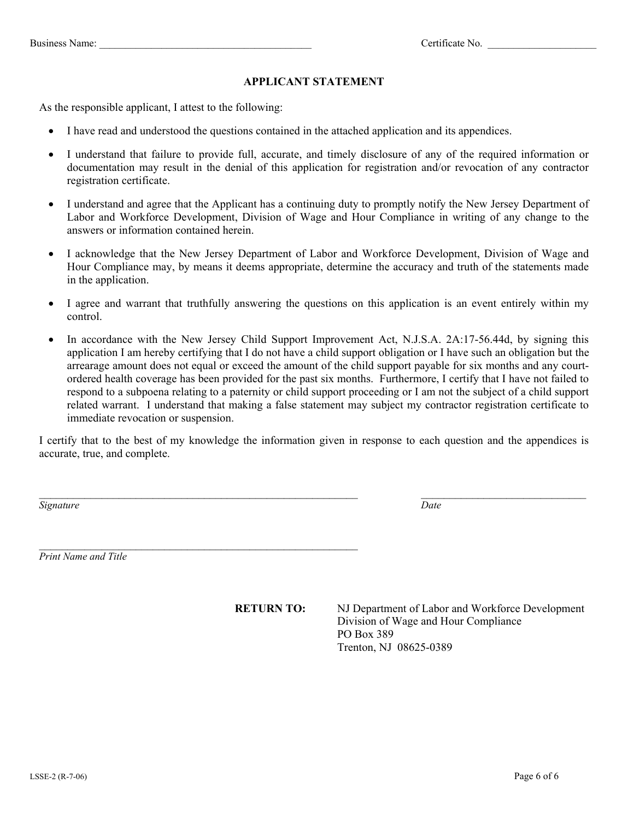### **APPLICANT STATEMENT**

As the responsible applicant, I attest to the following:

- I have read and understood the questions contained in the attached application and its appendices.
- I understand that failure to provide full, accurate, and timely disclosure of any of the required information or documentation may result in the denial of this application for registration and/or revocation of any contractor registration certificate.
- I understand and agree that the Applicant has a continuing duty to promptly notify the New Jersey Department of Labor and Workforce Development, Division of Wage and Hour Compliance in writing of any change to the answers or information contained herein.
- I acknowledge that the New Jersey Department of Labor and Workforce Development, Division of Wage and Hour Compliance may, by means it deems appropriate, determine the accuracy and truth of the statements made in the application.
- I agree and warrant that truthfully answering the questions on this application is an event entirely within my control.
- In accordance with the New Jersey Child Support Improvement Act, N.J.S.A. 2A:17-56.44d, by signing this application I am hereby certifying that I do not have a child support obligation or I have such an obligation but the arrearage amount does not equal or exceed the amount of the child support payable for six months and any courtordered health coverage has been provided for the past six months. Furthermore, I certify that I have not failed to respond to a subpoena relating to a paternity or child support proceeding or I am not the subject of a child support related warrant. I understand that making a false statement may subject my contractor registration certificate to immediate revocation or suspension.

I certify that to the best of my knowledge the information given in response to each question and the appendices is accurate, true, and complete.

*Signature* Date Date of *Date* Date of *Date* Date of *Date* Date of *Date* Date of *Date* Date of *Date* Date of *Date* of *Date* of *Date* of *Date* of *Date* of *Date* of *Date* of *Date* of *Date* of *Date* of *Date*

*Print Name and Title* 

 $\mathcal{L}_\text{max}$  and the contract of the contract of the contract of the contract of the contract of the contract of the contract of the contract of the contract of the contract of the contract of the contract of the contrac

**RETURN TO:** NJ Department of Labor and Workforce Development Division of Wage and Hour Compliance PO Box 389 Trenton, NJ 08625-0389

 $\mathcal{L}_\mathcal{L} = \{ \mathcal{L}_\mathcal{L} = \{ \mathcal{L}_\mathcal{L} = \{ \mathcal{L}_\mathcal{L} = \{ \mathcal{L}_\mathcal{L} = \{ \mathcal{L}_\mathcal{L} = \{ \mathcal{L}_\mathcal{L} = \{ \mathcal{L}_\mathcal{L} = \{ \mathcal{L}_\mathcal{L} = \{ \mathcal{L}_\mathcal{L} = \{ \mathcal{L}_\mathcal{L} = \{ \mathcal{L}_\mathcal{L} = \{ \mathcal{L}_\mathcal{L} = \{ \mathcal{L}_\mathcal{L} = \{ \mathcal{L}_\mathcal{$